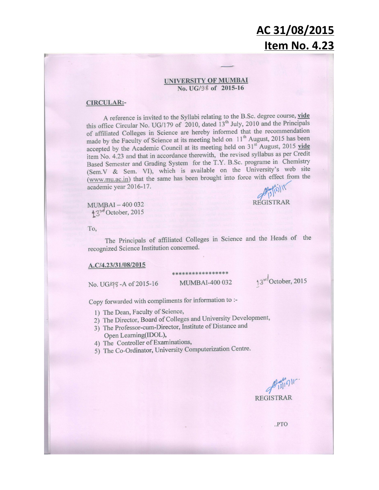#### **UNIVERSITY OF MUMBAI** No. UG/98 of 2015-16

#### **CIRCULAR:-**

A reference is invited to the Syllabi relating to the B.Sc. degree course, vide this office Circular No. UG/179 of 2010, dated 13<sup>th</sup> July, 2010 and the Principals of affiliated Colleges in Science are hereby informed that the recommendation made by the Faculty of Science at its meeting held on  $11<sup>th</sup>$  August, 2015 has been accepted by the Academic Council at its meeting held on 31<sup>st</sup> August, 2015 vide item No. 4.23 and that in accordance therewith, the revised syllabus as per Credit Based Semester and Grading System for the T.Y. B.Sc. programe in Chemistry (Sem.V & Sem. VI), which is available on the University's web site (www.mu.ac.in) that the same has been brought into force with effect from the academic year 2016-17.

MUMBAI-400 032  $43^{rd}$ October, 2015

To,

The Principals of affiliated Colleges in Science and the Heads of the recognized Science Institution concerned.

\*\*\*\*\*\*\*\*\*\*\*\*

#### A.C/4.23/31/08/2015

No. UG/98-A of 2015-16

MUMBAI-400 032

13rd October, 2015

**REGISTRAR** 

Copy forwarded with compliments for information to :-

- 1) The Dean, Faculty of Science,
- 2) The Director, Board of Colleges and University Development,
- 3) The Professor-cum-Director, Institute of Distance and Open Learning(IDOL),
- 4) The Controller of Examinations,
- 5) The Co-Ordinator, University Computerization Centre.

slig15 **REGISTRAR** 

 $.PTO$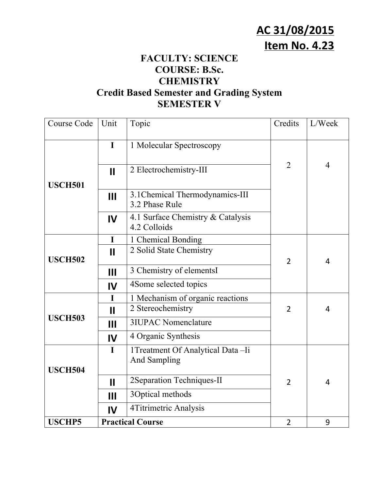#### **FACULTY: SCIENCE COURSE: B.Sc. CHEMISTRY Credit Based Semester and Grading System SEMESTER V**

| Course Code    | Unit                         | Topic                                                   | Credits        | L/Week         |
|----------------|------------------------------|---------------------------------------------------------|----------------|----------------|
|                | $\mathbf I$                  | 1 Molecular Spectroscopy                                |                |                |
| <b>USCH501</b> | $\mathbf{II}$                | 2 Electrochemistry-III                                  | 2              | $\overline{4}$ |
|                | $\mathbf{III}$               | 3.1 Chemical Thermodynamics-III<br>3.2 Phase Rule       |                |                |
|                | $\mathbf{I}$                 | 4.1 Surface Chemistry & Catalysis<br>4.2 Colloids       |                |                |
| <b>USCH502</b> | I<br>$\mathbf{H}$            | 1 Chemical Bonding<br>2 Solid State Chemistry           | $\overline{2}$ | $\overline{4}$ |
|                | $\mathbf{III}$               | 3 Chemistry of elementsI                                |                |                |
|                | $\mathbf{I}$                 | 4Some selected topics                                   |                |                |
| <b>USCH503</b> | $\mathbf I$<br>$\mathbf{II}$ | 1 Mechanism of organic reactions<br>2 Stereochemistry   | $\overline{2}$ | $\overline{4}$ |
|                | $\mathbf{III}$               | <b>3IUPAC Nomenclature</b>                              |                |                |
|                | $\mathbf{I}$                 | 4 Organic Synthesis                                     |                |                |
| <b>USCH504</b> | $\mathbf I$                  | 1Treatment Of Analytical Data-Ii<br><b>And Sampling</b> |                |                |
|                | $\mathbf{II}$                | 2Separation Techniques-II                               | $\overline{2}$ | $\overline{4}$ |
|                | $\mathbf{III}$               | 3Optical methods                                        |                |                |
|                | $\mathbf{I}$                 | 4Titrimetric Analysis                                   |                |                |
| <b>USCHP5</b>  |                              | <b>Practical Course</b>                                 | $\overline{2}$ | 9              |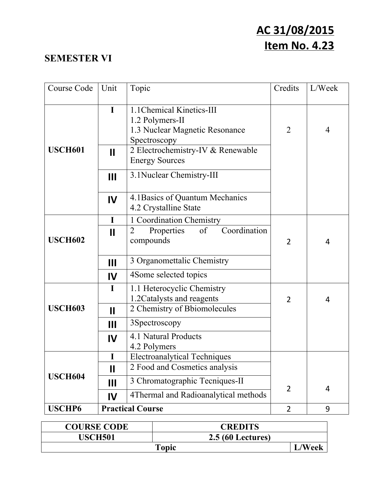#### **SEMESTER VI**

| Course Code    | Unit                        | Topic                                                                                          | Credits        | L/Week         |
|----------------|-----------------------------|------------------------------------------------------------------------------------------------|----------------|----------------|
|                | $\mathbf I$                 | 1.1 Chemical Kinetics-III<br>1.2 Polymers-II<br>1.3 Nuclear Magnetic Resonance<br>Spectroscopy | $\overline{2}$ | $\overline{4}$ |
| <b>USCH601</b> | $\mathbf{\mathsf{I}}$       | 2 Electrochemistry-IV & Renewable<br><b>Energy Sources</b>                                     |                |                |
|                | $\mathbf{III}$              | 3.1 Nuclear Chemistry-III                                                                      |                |                |
|                | IV                          | 4.1 Basics of Quantum Mechanics<br>4.2 Crystalline State                                       |                |                |
| <b>USCH602</b> | I<br>$\mathbf{I}$           | 1 Coordination Chemistry<br>Coordination<br>Properties<br>of<br>2<br>compounds                 | $\overline{2}$ | $\overline{4}$ |
|                | $\mathbf{III}$<br>IV        | 3 Organomettalic Chemistry<br>4Some selected topics                                            |                |                |
| <b>USCH603</b> | $\mathbf I$<br>$\mathbf{I}$ | 1.1 Heterocyclic Chemistry<br>1.2 Catalysts and reagents<br>2 Chemistry of Bbiomolecules       | $\overline{2}$ | $\overline{4}$ |
|                | $\mathbf{III}$              | 3Spectroscopy                                                                                  |                |                |
|                | IV                          | 4.1 Natural Products<br>4.2 Polymers                                                           |                |                |
|                |                             | <b>Electroanalytical Techniques</b>                                                            |                |                |
| <b>USCH604</b> | $\mathbf{I}$                | 2 Food and Cosmetics analysis                                                                  |                |                |
|                | $\mathbf{III}$              | 3 Chromatographic Tecniques-II                                                                 | $\overline{2}$ | $\overline{4}$ |
|                | IV                          | 4Thermal and Radioanalytical methods                                                           |                |                |
| <b>USCHP6</b>  |                             | <b>Practical Course</b>                                                                        | $\overline{2}$ | 9              |

| <b>COURSE CODE</b> | <b>CREDITS</b>           |               |
|--------------------|--------------------------|---------------|
| USCH501            | <b>2.5 (60 Lectures)</b> |               |
| Topic              |                          | <b>L/Week</b> |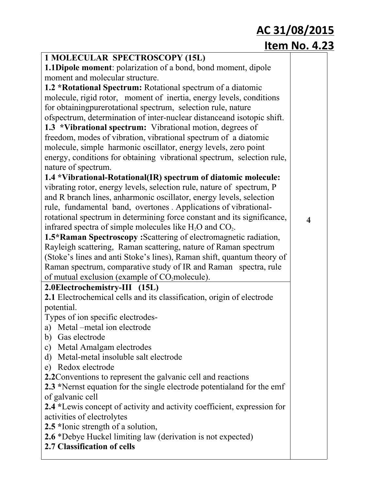| 1 MOLECULAR SPECTROSCOPY (15L)                                           |                         |
|--------------------------------------------------------------------------|-------------------------|
| <b>1.1Dipole moment:</b> polarization of a bond, bond moment, dipole     |                         |
| moment and molecular structure.                                          |                         |
| 1.2 *Rotational Spectrum: Rotational spectrum of a diatomic              |                         |
| molecule, rigid rotor, moment of inertia, energy levels, conditions      |                         |
| for obtaining pure rotational spectrum, selection rule, nature           |                         |
| of spectrum, determination of inter-nuclear distance and isotopic shift. |                         |
| 1.3 *Vibrational spectrum: Vibrational motion, degrees of                |                         |
| freedom, modes of vibration, vibrational spectrum of a diatomic          |                         |
| molecule, simple harmonic oscillator, energy levels, zero point          |                         |
| energy, conditions for obtaining vibrational spectrum, selection rule,   |                         |
| nature of spectrum.                                                      |                         |
| 1.4 *Vibrational-Rotational(IR) spectrum of diatomic molecule:           |                         |
| vibrating rotor, energy levels, selection rule, nature of spectrum, P    |                         |
| and R branch lines, anharmonic oscillator, energy levels, selection      |                         |
| rule, fundamental band, overtones. Applications of vibrational-          |                         |
| rotational spectrum in determining force constant and its significance,  | $\overline{\mathbf{4}}$ |
| infrared spectra of simple molecules like $H_2O$ and $CO_2$ .            |                         |
| 1.5*Raman Spectroscopy: Scattering of electromagnetic radiation,         |                         |
| Rayleigh scattering, Raman scattering, nature of Raman spectrum          |                         |
| (Stoke's lines and anti Stoke's lines), Raman shift, quantum theory of   |                         |
| Raman spectrum, comparative study of IR and Raman spectra, rule          |                         |
| of mutual exclusion (example of CO <sub>2</sub> molecule).               |                         |
| 2.0Electrochemistry-III (15L)                                            |                         |
| 2.1 Electrochemical cells and its classification, origin of electrode    |                         |
| potential.                                                               |                         |
| Types of ion specific electrodes-                                        |                         |
| a) Metal –metal ion electrode                                            |                         |
| Gas electrode<br>b)                                                      |                         |
| Metal Amalgam electrodes<br>$\mathbf{c})$                                |                         |
| Metal-metal insoluble salt electrode<br>d)                               |                         |
| e) Redox electrode                                                       |                         |
| 2.2 Conventions to represent the galvanic cell and reactions             |                         |
| 2.3 *Nernst equation for the single electrode potential and for the emf  |                         |
| of galvanic cell                                                         |                         |
| 2.4 *Lewis concept of activity and activity coefficient, expression for  |                         |
| activities of electrolytes                                               |                         |
| 2.5 *Ionic strength of a solution,                                       |                         |
| <b>2.6</b> *Debye Huckel limiting law (derivation is not expected)       |                         |
| 2.7 Classification of cells                                              |                         |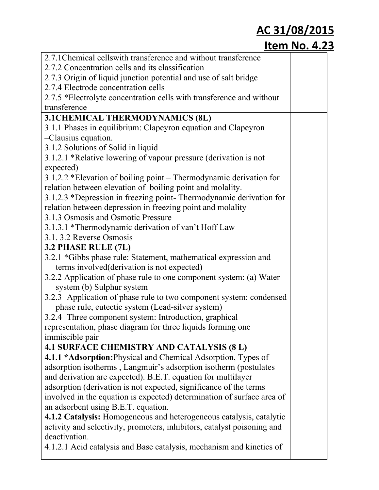| 2.7.1 Chemical cells with transference and without transference         |  |
|-------------------------------------------------------------------------|--|
| 2.7.2 Concentration cells and its classification                        |  |
| 2.7.3 Origin of liquid junction potential and use of salt bridge        |  |
| 2.7.4 Electrode concentration cells                                     |  |
| 2.7.5 *Electrolyte concentration cells with transference and without    |  |
| transference                                                            |  |
| 3.1 CHEMICAL THERMODYNAMICS (8L)                                        |  |
| 3.1.1 Phases in equilibrium: Clapeyron equation and Clapeyron           |  |
| -Clausius equation.                                                     |  |
| 3.1.2 Solutions of Solid in liquid                                      |  |
| 3.1.2.1 *Relative lowering of vapour pressure (derivation is not        |  |
| expected)                                                               |  |
| 3.1.2.2 *Elevation of boiling point – Thermodynamic derivation for      |  |
| relation between elevation of boiling point and molality.               |  |
| 3.1.2.3 *Depression in freezing point-Thermodynamic derivation for      |  |
| relation between depression in freezing point and molality              |  |
| 3.1.3 Osmosis and Osmotic Pressure                                      |  |
| 3.1.3.1 *Thermodynamic derivation of van't Hoff Law                     |  |
| 3.1.3.2 Reverse Osmosis                                                 |  |
| 3.2 PHASE RULE (7L)                                                     |  |
| 3.2.1 *Gibbs phase rule: Statement, mathematical expression and         |  |
| terms involved (derivation is not expected)                             |  |
| 3.2.2 Application of phase rule to one component system: (a) Water      |  |
| system (b) Sulphur system                                               |  |
| 3.2.3 Application of phase rule to two component system: condensed      |  |
| phase rule, eutectic system (Lead-silver system)                        |  |
| 3.2.4 Three component system: Introduction, graphical                   |  |
| representation, phase diagram for three liquids forming one             |  |
| <i>immiscible pair</i>                                                  |  |
| <b>4.1 SURFACE CHEMISTRY AND CATALYSIS (8 L)</b>                        |  |
| 4.1.1 *Adsorption: Physical and Chemical Adsorption, Types of           |  |
| adsorption isotherms, Langmuir's adsorption isotherm (postulates        |  |
| and derivation are expected). B.E.T. equation for multilayer            |  |
| adsorption (derivation is not expected, significance of the terms       |  |
| involved in the equation is expected) determination of surface area of  |  |
| an adsorbent using B.E.T. equation.                                     |  |
| 4.1.2 Catalysis: Homogeneous and heterogeneous catalysis, catalytic     |  |
| activity and selectivity, promoters, inhibitors, catalyst poisoning and |  |
| deactivation.                                                           |  |
| 4.1.2.1 Acid catalysis and Base catalysis, mechanism and kinetics of    |  |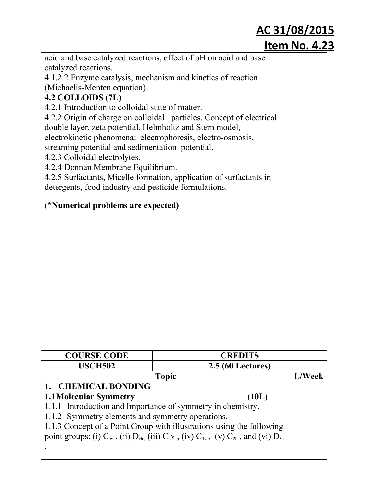| acid and base catalyzed reactions, effect of pH on acid and base     |  |
|----------------------------------------------------------------------|--|
| catalyzed reactions.                                                 |  |
| 4.1.2.2 Enzyme catalysis, mechanism and kinetics of reaction         |  |
| (Michaelis-Menten equation).                                         |  |
| 4.2 COLLOIDS (7L)                                                    |  |
| 4.2.1 Introduction to colloidal state of matter.                     |  |
| 4.2.2 Origin of charge on colloidal particles. Concept of electrical |  |
| double layer, zeta potential, Helmholtz and Stern model,             |  |
| electrokinetic phenomena: electrophoresis, electro-osmosis,          |  |
| streaming potential and sedimentation potential.                     |  |
| 4.2.3 Colloidal electrolytes.                                        |  |
| 4.2.4 Donnan Membrane Equilibrium.                                   |  |
| 4.2.5 Surfactants, Micelle formation, application of surfactants in  |  |
| detergents, food industry and pesticide formulations.                |  |
| (*Numerical problems are expected)                                   |  |

| <b>COURSE CODE</b>                                          | <b>CREDITS</b>                                                                                                                |        |
|-------------------------------------------------------------|-------------------------------------------------------------------------------------------------------------------------------|--------|
| <b>USCH502</b>                                              | <b>2.5 (60 Lectures)</b>                                                                                                      |        |
|                                                             | <b>Topic</b>                                                                                                                  | L/Week |
| 1. CHEMICAL BONDING                                         |                                                                                                                               |        |
| <b>1.1 Molecular Symmetry</b>                               | (10L)                                                                                                                         |        |
| 1.1.1 Introduction and Importance of symmetry in chemistry. |                                                                                                                               |        |
| 1.1.2 Symmetry elements and symmetry operations.            |                                                                                                                               |        |
|                                                             | 1.1.3 Concept of a Point Group with illustrations using the following                                                         |        |
|                                                             | point groups: (i) $C_{\alpha\nu}$ , (ii) $D_{\alpha h}$ , (iii) $C_2\nu$ , (iv) $C_{3\nu}$ , (v) $C_{2h}$ , and (vi) $D_{3h}$ |        |
|                                                             |                                                                                                                               |        |
|                                                             |                                                                                                                               |        |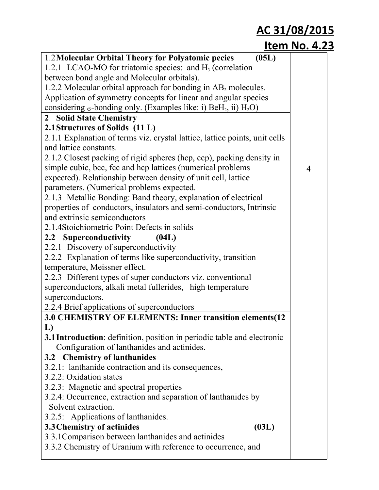| 1.2 Molecular Orbital Theory for Polyatomic pecies<br>(05L)                                     |   |
|-------------------------------------------------------------------------------------------------|---|
| 1.2.1 LCAO-MO for triatomic species: and $H_3$ (correlation                                     |   |
| between bond angle and Molecular orbitals).                                                     |   |
| 1.2.2 Molecular orbital approach for bonding in $AB_2$ molecules.                               |   |
| Application of symmetry concepts for linear and angular species                                 |   |
| considering $\sigma$ -bonding only. (Examples like: i) BeH <sub>2</sub> , ii) H <sub>2</sub> O) |   |
| 2 Solid State Chemistry                                                                         |   |
| 2.1 Structures of Solids (11 L)                                                                 |   |
| 2.1.1 Explanation of terms viz. crystal lattice, lattice points, unit cells                     |   |
| and lattice constants.                                                                          |   |
| 2.1.2 Closest packing of rigid spheres (hcp, ccp), packing density in                           |   |
| simple cubic, bcc, fcc and hcp lattices (numerical problems)                                    | 4 |
| expected). Relationship between density of unit cell, lattice                                   |   |
| parameters. (Numerical problems expected.                                                       |   |
| 2.1.3 Metallic Bonding: Band theory, explanation of electrical                                  |   |
| properties of conductors, insulators and semi-conductors, Intrinsic                             |   |
| and extrinsic semiconductors                                                                    |   |
| 2.1.4Stoichiometric Point Defects in solids                                                     |   |
| 2.2 Superconductivity<br>(04L)                                                                  |   |
| 2.2.1 Discovery of superconductivity                                                            |   |
| 2.2.2 Explanation of terms like superconductivity, transition                                   |   |
| temperature, Meissner effect.                                                                   |   |
| 2.2.3 Different types of super conductors viz. conventional                                     |   |
| superconductors, alkali metal fullerides, high temperature                                      |   |
| superconductors.                                                                                |   |
| 2.2.4 Brief applications of superconductors                                                     |   |
| 3.0 CHEMISTRY OF ELEMENTS: Inner transition elements(12                                         |   |
|                                                                                                 |   |
| L)                                                                                              |   |
| <b>3.1 Introduction:</b> definition, position in periodic table and electronic                  |   |
| Configuration of lanthanides and actinides.                                                     |   |
| 3.2 Chemistry of lanthanides                                                                    |   |
| 3.2.1: lanthanide contraction and its consequences,                                             |   |
| 3.2.2: Oxidation states                                                                         |   |
| 3.2.3: Magnetic and spectral properties                                                         |   |
| 3.2.4: Occurrence, extraction and separation of lanthanides by                                  |   |
| Solvent extraction.                                                                             |   |
| 3.2.5: Applications of lanthanides.                                                             |   |
| 3.3 Chemistry of actinides<br>(03L)                                                             |   |
| 3.3.1 Comparison between lanthanides and actinides                                              |   |
| 3.3.2 Chemistry of Uranium with reference to occurrence, and                                    |   |
|                                                                                                 |   |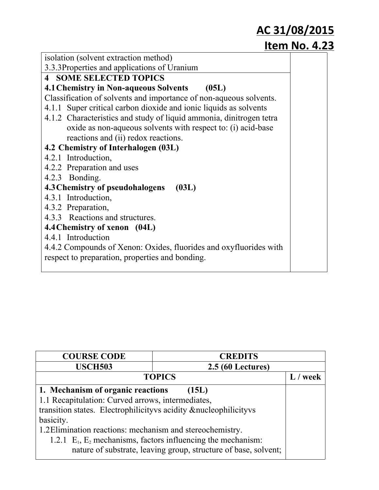| isolation (solvent extraction method)                               |  |  |  |  |  |
|---------------------------------------------------------------------|--|--|--|--|--|
| 3.3.3Properties and applications of Uranium                         |  |  |  |  |  |
| <b>4 SOME SELECTED TOPICS</b>                                       |  |  |  |  |  |
| <b>4.1 Chemistry in Non-aqueous Solvents</b><br>(05L)               |  |  |  |  |  |
| Classification of solvents and importance of non-aqueous solvents.  |  |  |  |  |  |
| 4.1.1 Super critical carbon dioxide and ionic liquids as solvents   |  |  |  |  |  |
| 4.1.2 Characteristics and study of liquid ammonia, dinitrogen tetra |  |  |  |  |  |
| oxide as non-aqueous solvents with respect to: (i) acid-base        |  |  |  |  |  |
| reactions and (ii) redox reactions.                                 |  |  |  |  |  |
| 4.2 Chemistry of Interhalogen (03L)                                 |  |  |  |  |  |
| 4.2.1 Introduction,                                                 |  |  |  |  |  |
| 4.2.2 Preparation and uses                                          |  |  |  |  |  |
| 4.2.3 Bonding.                                                      |  |  |  |  |  |
| 4.3 Chemistry of pseudohalogens<br>(03L)                            |  |  |  |  |  |
| 4.3.1 Introduction,                                                 |  |  |  |  |  |
| 4.3.2 Preparation,                                                  |  |  |  |  |  |
| 4.3.3 Reactions and structures.                                     |  |  |  |  |  |
| 4.4 Chemistry of xenon (04L)                                        |  |  |  |  |  |
| 4.4.1 Introduction                                                  |  |  |  |  |  |
| 4.4.2 Compounds of Xenon: Oxides, fluorides and oxyfluorides with   |  |  |  |  |  |
| respect to preparation, properties and bonding.                     |  |  |  |  |  |
|                                                                     |  |  |  |  |  |

| <b>COURSE CODE</b>                                                                                                                                                         | <b>CREDITS</b>                                                                                                                        |      |
|----------------------------------------------------------------------------------------------------------------------------------------------------------------------------|---------------------------------------------------------------------------------------------------------------------------------------|------|
| <b>USCH503</b>                                                                                                                                                             | <b>2.5 (60 Lectures)</b>                                                                                                              |      |
|                                                                                                                                                                            | <b>TOPICS</b>                                                                                                                         | week |
| 1. Mechanism of organic reactions<br>1.1 Recapitulation: Curved arrows, intermediates,<br>transition states. Electrophilicity vs acidity & nucleophilicity vs<br>basicity. | (15L)                                                                                                                                 |      |
| 1.2 Elimination reactions: mechanism and stereochemistry.                                                                                                                  | 1.2.1 $E_1$ , $E_2$ mechanisms, factors influencing the mechanism:<br>nature of substrate, leaving group, structure of base, solvent; |      |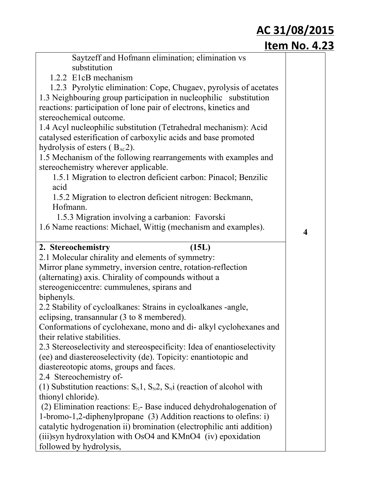| Saytzeff and Hofmann elimination; elimination vs                                                 |                         |
|--------------------------------------------------------------------------------------------------|-------------------------|
| substitution                                                                                     |                         |
| 1.2.2 E1cB mechanism                                                                             |                         |
| 1.2.3 Pyrolytic elimination: Cope, Chugaev, pyrolysis of acetates                                |                         |
| 1.3 Neighbouring group participation in nucleophilic substitution                                |                         |
| reactions: participation of lone pair of electrons, kinetics and                                 |                         |
| stereochemical outcome.                                                                          |                         |
| 1.4 Acyl nucleophilic substitution (Tetrahedral mechanism): Acid                                 |                         |
| catalysed esterification of carboxylic acids and base promoted                                   |                         |
| hydrolysis of esters $(BAC2)$ .                                                                  |                         |
| 1.5 Mechanism of the following rearrangements with examples and                                  |                         |
| stereochemistry wherever applicable.                                                             |                         |
| 1.5.1 Migration to electron deficient carbon: Pinacol; Benzilic                                  |                         |
| acid                                                                                             |                         |
| 1.5.2 Migration to electron deficient nitrogen: Beckmann,                                        |                         |
| Hofmann.                                                                                         |                         |
| 1.5.3 Migration involving a carbanion: Favorski                                                  |                         |
| 1.6 Name reactions: Michael, Wittig (mechanism and examples).                                    | $\overline{\mathbf{4}}$ |
| 2. Stereochemistry<br>(15L)                                                                      |                         |
| 2.1 Molecular chirality and elements of symmetry:                                                |                         |
|                                                                                                  |                         |
|                                                                                                  |                         |
| Mirror plane symmetry, inversion centre, rotation-reflection                                     |                         |
| (alternating) axis. Chirality of compounds without a                                             |                         |
| stereogeniccentre: cummulenes, spirans and                                                       |                         |
| biphenyls.                                                                                       |                         |
| 2.2 Stability of cycloalkanes: Strains in cycloalkanes -angle,                                   |                         |
| eclipsing, transannular (3 to 8 membered).                                                       |                         |
| Conformations of cyclohexane, mono and di- alkyl cyclohexanes and<br>their relative stabilities. |                         |
| 2.3 Stereoselectivity and stereospecificity: Idea of enantioselectivity                          |                         |
| (ee) and diastereoselectivity (de). Topicity: enantiotopic and                                   |                         |
| diastereotopic atoms, groups and faces.                                                          |                         |
| 2.4 Stereochemistry of-                                                                          |                         |
| (1) Substitution reactions: $S_N1$ , $S_N2$ , $S_Ni$ (reaction of alcohol with                   |                         |
| thionyl chloride).                                                                               |                         |
| (2) Elimination reactions: $E_2$ - Base induced dehydrohalogenation of                           |                         |
| 1-bromo-1,2-diphenylpropane (3) Addition reactions to olefins: i)                                |                         |
| catalytic hydrogenation ii) bromination (electrophilic anti addition)                            |                         |
| (iii) syn hydroxylation with OsO4 and KMnO4 (iv) epoxidation                                     |                         |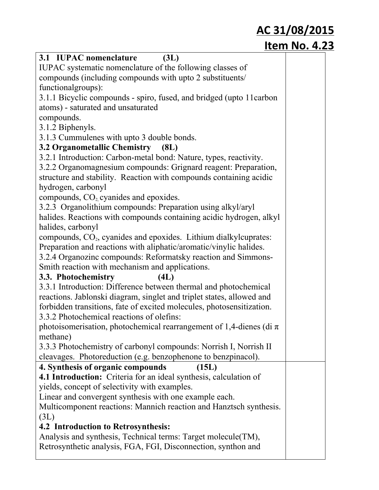| 3.1 IUPAC nomenclature<br>(3L)                                               |  |
|------------------------------------------------------------------------------|--|
| IUPAC systematic nomenclature of the following classes of                    |  |
| compounds (including compounds with upto 2 substituents/                     |  |
| functionalgroups):                                                           |  |
| 3.1.1 Bicyclic compounds - spiro, fused, and bridged (upto 11 carbon         |  |
| atoms) - saturated and unsaturated                                           |  |
| compounds.                                                                   |  |
| 3.1.2 Biphenyls.                                                             |  |
| 3.1.3 Cummulenes with upto 3 double bonds.                                   |  |
| 3.2 Organometallic Chemistry (8L)                                            |  |
| 3.2.1 Introduction: Carbon-metal bond: Nature, types, reactivity.            |  |
| 3.2.2 Organomagnesium compounds: Grignard reagent: Preparation,              |  |
| structure and stability. Reaction with compounds containing acidic           |  |
| hydrogen, carbonyl                                                           |  |
| compounds, $CO2$ cyanides and epoxides.                                      |  |
| 3.2.3 Organolithium compounds: Preparation using alkyl/aryl                  |  |
| halides. Reactions with compounds containing acidic hydrogen, alkyl          |  |
| halides, carbonyl                                                            |  |
| compounds, CO <sub>2</sub> , cyanides and epoxides. Lithium dialkylcuprates: |  |
| Preparation and reactions with aliphatic/aromatic/vinylic halides.           |  |
| 3.2.4 Organozinc compounds: Reformatsky reaction and Simmons-                |  |
| Smith reaction with mechanism and applications.                              |  |
| 3.3. Photochemistry<br>(4L)                                                  |  |
| 3.3.1 Introduction: Difference between thermal and photochemical             |  |
| reactions. Jablonski diagram, singlet and triplet states, allowed and        |  |
| forbidden transitions, fate of excited molecules, photosensitization.        |  |
| 3.3.2 Photochemical reactions of olefins:                                    |  |
| photoisomerisation, photochemical rearrangement of 1,4-dienes (di $\pi$ )    |  |
| methane)                                                                     |  |
| 3.3.3 Photochemistry of carbonyl compounds: Norrish I, Norrish II            |  |
| cleavages. Photoreduction (e.g. benzophenone to benzpinacol).                |  |
| 4. Synthesis of organic compounds<br>(15L)                                   |  |
| 4.1 Introduction: Criteria for an ideal synthesis, calculation of            |  |
| yields, concept of selectivity with examples.                                |  |
| Linear and convergent synthesis with one example each.                       |  |
| Multicomponent reactions: Mannich reaction and Hanztsch synthesis.           |  |
| (3L)                                                                         |  |
| <b>4.2 Introduction to Retrosynthesis:</b>                                   |  |
| Analysis and synthesis, Technical terms: Target molecule (TM),               |  |
| Retrosynthetic analysis, FGA, FGI, Disconnection, synthon and                |  |
|                                                                              |  |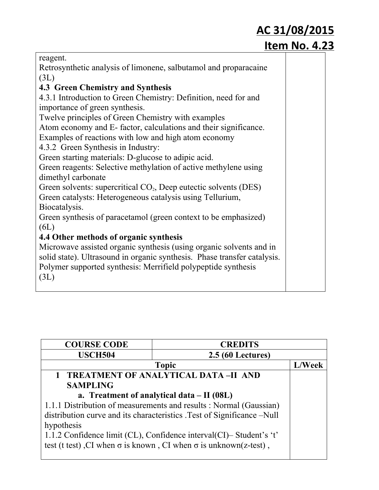|                                                                          | <u>AC 31/08/2015</u> |  |
|--------------------------------------------------------------------------|----------------------|--|
|                                                                          | <b>Item No. 4.23</b> |  |
| reagent.                                                                 |                      |  |
| Retrosynthetic analysis of limonene, salbutamol and proparacaine         |                      |  |
| (3L)                                                                     |                      |  |
| <b>4.3 Green Chemistry and Synthesis</b>                                 |                      |  |
| 4.3.1 Introduction to Green Chemistry: Definition, need for and          |                      |  |
| importance of green synthesis.                                           |                      |  |
| Twelve principles of Green Chemistry with examples                       |                      |  |
| Atom economy and E-factor, calculations and their significance.          |                      |  |
| Examples of reactions with low and high atom economy                     |                      |  |
| 4.3.2 Green Synthesis in Industry:                                       |                      |  |
| Green starting materials: D-glucose to adipic acid.                      |                      |  |
| Green reagents: Selective methylation of active methylene using          |                      |  |
| dimethyl carbonate                                                       |                      |  |
| Green solvents: supercritical $CO2$ , Deep eutectic solvents (DES)       |                      |  |
| Green catalysts: Heterogeneous catalysis using Tellurium,                |                      |  |
| Biocatalysis.                                                            |                      |  |
| Green synthesis of paracetamol (green context to be emphasized)          |                      |  |
| (6L)                                                                     |                      |  |
| 4.4 Other methods of organic synthesis                                   |                      |  |
| Microwave assisted organic synthesis (using organic solvents and in      |                      |  |
| solid state). Ultrasound in organic synthesis. Phase transfer catalysis. |                      |  |
| Polymer supported synthesis: Merrifield polypeptide synthesis            |                      |  |
| (3L)                                                                     |                      |  |
|                                                                          |                      |  |

| <b>COURSE CODE</b> | <b>CREDITS</b>                                                                 |        |
|--------------------|--------------------------------------------------------------------------------|--------|
| <b>USCH504</b>     | <b>2.5 (60 Lectures)</b>                                                       |        |
|                    | <b>Topic</b>                                                                   | L/Week |
|                    | 1 TREATMENT OF ANALYTICAL DATA-II AND                                          |        |
| <b>SAMPLING</b>    |                                                                                |        |
|                    | a. Treatment of analytical data $-$ II (08L)                                   |        |
|                    | 1.1.1 Distribution of measurements and results : Normal (Gaussian)             |        |
|                    | distribution curve and its characteristics . Test of Significance -Null        |        |
| hypothesis         |                                                                                |        |
|                    | 1.1.2 Confidence limit (CL), Confidence interval (CI)– Student's 't'           |        |
|                    | test (t test), CI when $\sigma$ is known, CI when $\sigma$ is unknown(z-test), |        |
|                    |                                                                                |        |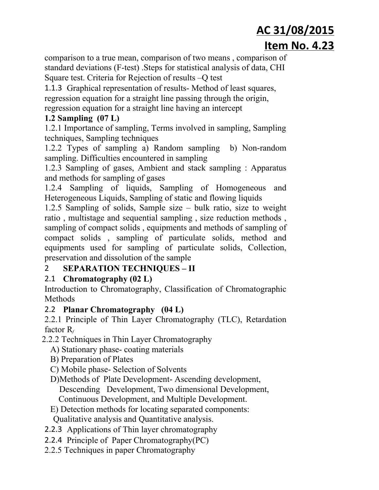comparison to a true mean, comparison of two means , comparison of standard deviations (F-test) . Steps for statistical analysis of data, CHI Square test. Criteria for Rejection of results –Q test

1.1.3 Graphical representation of results-Method of least squares, regression equation for a straight line passing through the origin, regression equation for a straight line having an intercept

#### **1.2 Sampling (07 L)**

1.2.1 Importance of sampling, Terms involved in sampling, Sampling techniques, Sampling techniques

1.2.2 Types of sampling a) Random sampling b) Non-random sampling. Difficulties encountered in sampling

1.2.3 Sampling of gases, Ambient and stack sampling : Apparatus and methods for sampling of gases

1.2.4 Sampling of liquids, Sampling of Homogeneous and Heterogeneous Liquids, Sampling of static and flowing liquids

1.2.5 Sampling of solids, Sample size – bulk ratio, size to weight ratio , multistage and sequential sampling , size reduction methods , sampling of compact solids , equipments and methods of sampling of compact solids , sampling of particulate solids, method and equipments used for sampling of particulate solids, Collection, preservation and dissolution of the sample

#### 2 **SEPARATION TECHNIQUES – II**

#### 2.1 **Chromatography (02 L)**

Introduction to Chromatography, Classification of Chromatographic Methods

#### 2.2 **Planar Chromatography (04 L)**

2.2.1 Principle of Thin Layer Chromatography (TLC), Retardation factor R*<sup>f</sup>*

- 2.2.2 Techniques in Thin Layer Chromatography
	- A) Stationary phase-coating materials
	- B) Preparation of Plates
	- C) Mobile phase Selection of Solvents
	- D)Methods of Plate Development-Ascending development,

Descending Development, Two dimensional Development,

Continuous Development, and Multiple Development.

- E) Detection methods for locating separated components: Qualitative analysis and Quantitative analysis.
- 2.2.3 Applications of Thin layer chromatography
- 2.2.4 Principle of Paper Chromatography(PC)
- 2.2.5 Techniques in paper Chromatography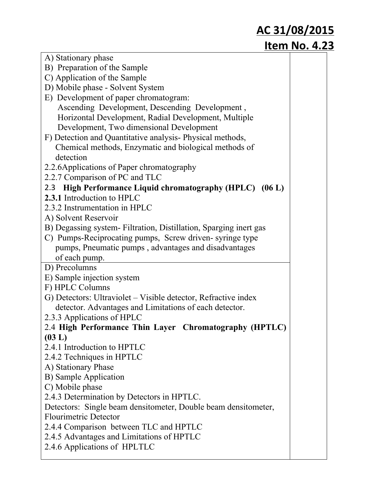| A) Stationary phase                                                       |
|---------------------------------------------------------------------------|
| B) Preparation of the Sample                                              |
| C) Application of the Sample                                              |
| D) Mobile phase - Solvent System                                          |
| E) Development of paper chromatogram:                                     |
| Ascending Development, Descending Development,                            |
| Horizontal Development, Radial Development, Multiple                      |
| Development, Two dimensional Development                                  |
| F) Detection and Quantitative analysis-Physical methods,                  |
| Chemical methods, Enzymatic and biological methods of                     |
| detection                                                                 |
| 2.2.6 Applications of Paper chromatography                                |
| 2.2.7 Comparison of PC and TLC                                            |
| 2.3 High Performance Liquid chromatography (HPLC) (06 L)                  |
| 2.3.1 Introduction to HPLC                                                |
| 2.3.2 Instrumentation in HPLC                                             |
| A) Solvent Reservoir                                                      |
| B) Degassing system-Filtration, Distillation, Sparging inert gas          |
| C) Pumps-Reciprocating pumps, Screw driven-syringe type                   |
| pumps, Pneumatic pumps, advantages and disadvantages                      |
| of each pump.                                                             |
| D) Precolumns                                                             |
| E) Sample injection system                                                |
| F) HPLC Columns                                                           |
| G) Detectors: Ultraviolet – Visible detector, Refractive index            |
| detector. Advantages and Limitations of each detector.                    |
| 2.3.3 Applications of HPLC                                                |
| 2.4 High Performance Thin Layer Chromatography (HPTLC)                    |
| (03 L)                                                                    |
| 2.4.1 Introduction to HPTLC                                               |
| 2.4.2 Techniques in HPTLC                                                 |
| A) Stationary Phase                                                       |
| <b>B)</b> Sample Application                                              |
| C) Mobile phase                                                           |
| 2.4.3 Determination by Detectors in HPTLC.                                |
| Detectors: Single beam densitometer, Double beam densitometer,            |
| <b>Flourimetric Detector</b>                                              |
|                                                                           |
| 2.4.4 Comparison between TLC and HPTLC                                    |
| 2.4.5 Advantages and Limitations of HPTLC<br>2.4.6 Applications of HPLTLC |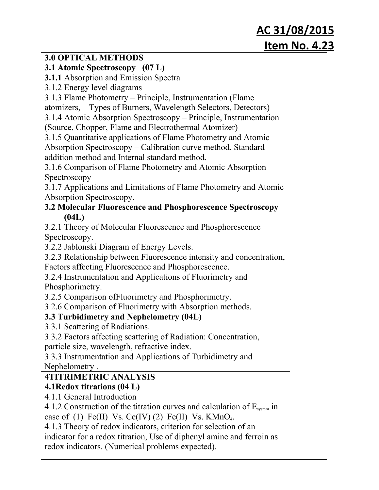| <b>3.0 OPTICAL METHODS</b>                                                    |  |
|-------------------------------------------------------------------------------|--|
| 3.1 Atomic Spectroscopy (07 L)                                                |  |
| 3.1.1 Absorption and Emission Spectra                                         |  |
| 3.1.2 Energy level diagrams                                                   |  |
| 3.1.3 Flame Photometry – Principle, Instrumentation (Flame                    |  |
| atomizers, Types of Burners, Wavelength Selectors, Detectors)                 |  |
| 3.1.4 Atomic Absorption Spectroscopy – Principle, Instrumentation             |  |
| (Source, Chopper, Flame and Electrothermal Atomizer)                          |  |
| 3.1.5 Quantitative applications of Flame Photometry and Atomic                |  |
| Absorption Spectroscopy – Calibration curve method, Standard                  |  |
| addition method and Internal standard method.                                 |  |
| 3.1.6 Comparison of Flame Photometry and Atomic Absorption                    |  |
| Spectroscopy                                                                  |  |
| 3.1.7 Applications and Limitations of Flame Photometry and Atomic             |  |
| Absorption Spectroscopy.                                                      |  |
| 3.2 Molecular Fluorescence and Phosphorescence Spectroscopy                   |  |
| (04L)                                                                         |  |
| 3.2.1 Theory of Molecular Fluorescence and Phosphorescence                    |  |
| Spectroscopy.                                                                 |  |
| 3.2.2 Jablonski Diagram of Energy Levels.                                     |  |
| 3.2.3 Relationship between Fluorescence intensity and concentration,          |  |
| Factors affecting Fluorescence and Phosphorescence.                           |  |
| 3.2.4 Instrumentation and Applications of Fluorimetry and                     |  |
| Phosphorimetry.                                                               |  |
| 3.2.5 Comparison of Fluorimetry and Phosphorimetry.                           |  |
| 3.2.6 Comparison of Fluorimetry with Absorption methods.                      |  |
| 3.3 Turbidimetry and Nephelometry (04L)                                       |  |
| 3.3.1 Scattering of Radiations.                                               |  |
| 3.3.2 Factors affecting scattering of Radiation: Concentration,               |  |
| particle size, wavelength, refractive index.                                  |  |
| 3.3.3 Instrumentation and Applications of Turbidimetry and                    |  |
| Nephelometry.                                                                 |  |
| <b>4TITRIMETRIC ANALYSIS</b>                                                  |  |
| 4.1 Redox titrations (04 L)                                                   |  |
| 4.1.1 General Introduction                                                    |  |
| 4.1.2 Construction of the titration curves and calculation of $E_{system}$ in |  |
| case of (1) Fe(II) Vs. Ce(IV) (2) Fe(II) Vs. $KMnO4$ .                        |  |
| 4.1.3 Theory of redox indicators, criterion for selection of an               |  |
| indicator for a redox titration, Use of diphenyl amine and ferroin as         |  |
| redox indicators. (Numerical problems expected).                              |  |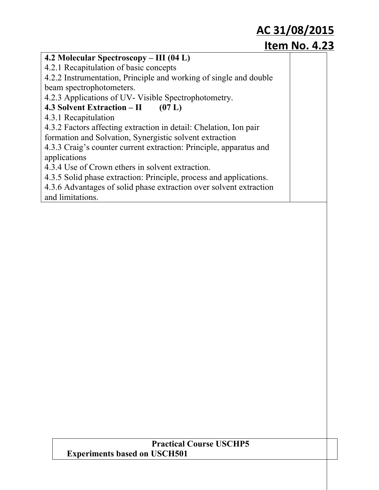#### **4.2 Molecular Spectroscopy – III (04 L)**

4.2.1 Recapitulation of basic concepts

4.2.2 Instrumentation, Principle and working of single and double beam spectrophotometers.

4.2.3 Applications of UV-Visible Spectrophotometry.

#### **4.3 Solvent Extraction – II (07 L)**

4.3.1 Recapitulation

4.3.2 Factors affecting extraction in detail: Chelation, Ion pair formation and Solvation, Synergistic solvent extraction

4.3.3 Craig's counter current extraction: Principle, apparatus and applications

4.3.4 Use of Crown ethers in solvent extraction.

4.3.5 Solid phase extraction: Principle, process and applications.

4.3.6 Advantages of solid phase extraction over solvent extraction and limitations.

#### **Practical Course USCHP5 Experiments based on USCH501**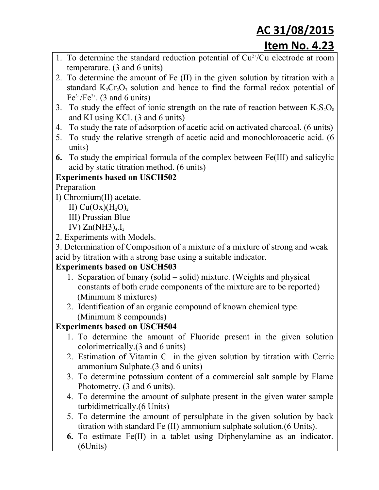- 1. To determine the standard reduction potential of  $Cu<sup>2+</sup>/Cu$  electrode at room temperature. (3 and 6 units)
- 2. To determine the amount of Fe (II) in the given solution by titration with a standard  $K_2Cr_2O_7$  solution and hence to find the formal redox potential of  $Fe^{3+}/Fe^{2+}$ . (3 and 6 units)
- 3. To study the effect of ionic strength on the rate of reaction between  $K_2S_2O_8$ and KI using KCl. (3 and 6 units)
- 4. To study the rate of adsorption of acetic acid on activated charcoal. (6 units)
- 5. To study the relative strength of acetic acid and monochloroacetic acid. (6 units)
- **6.** To study the empirical formula of the complex between Fe(III) and salicylic acid by static titration method. (6 units)

#### **Experiments based on USCH502**

Preparation

- I) Chromium(II) acetate.
	- II)  $Cu(Ox)(H_2O)_2$
	- III) Prussian Blue

IV)  $Zn(NH3)_{4}I_2$ 

2. Experiments with Models.

3. Determination of Composition of a mixture of a mixture of strong and weak acid by titration with a strong base using a suitable indicator.

#### **Experiments based on USCH503**

- 1. Separation of binary (solid solid) mixture. (Weights and physical constants of both crude components of the mixture are to be reported) (Minimum 8 mixtures)
- 2. Identification of an organic compound of known chemical type. (Minimum 8 compounds)

#### **Experiments based on USCH504**

- 1. To determine the amount of Fluoride present in the given solution colorimetrically.(3 and 6 units)
- 2. Estimation of Vitamin C in the given solution by titration with Cerric ammonium Sulphate.(3 and 6 units)
- 3. To determine potassium content of a commercial salt sample by Flame Photometry. (3 and 6 units).
- 4. To determine the amount of sulphate present in the given water sample turbidimetrically.(6 Units)
- 5. To determine the amount of persulphate in the given solution by back titration with standard Fe (II) ammonium sulphate solution.(6 Units).
- **6.** To estimate Fe(II) in a tablet using Diphenylamine as an indicator. (6Units)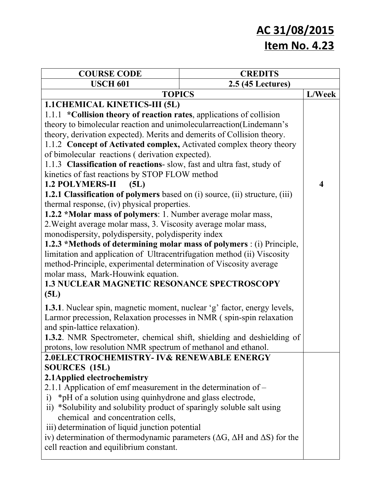| <b>COURSE CODE</b>                                                                               | <b>CREDITS</b>    |        |
|--------------------------------------------------------------------------------------------------|-------------------|--------|
| <b>USCH 601</b>                                                                                  | 2.5 (45 Lectures) |        |
| <b>TOPICS</b>                                                                                    |                   | L/Week |
| <b>1.1 CHEMICAL KINETICS-III (5L)</b>                                                            |                   |        |
| 1.1.1 *Collision theory of reaction rates, applications of collision                             |                   |        |
| theory to bimolecular reaction and unimolecular reaction (Lindemann's                            |                   |        |
| theory, derivation expected). Merits and demerits of Collision theory.                           |                   |        |
| 1.1.2 Concept of Activated complex, Activated complex theory theory                              |                   |        |
| of bimolecular reactions (derivation expected).                                                  |                   |        |
| 1.1.3 Classification of reactions- slow, fast and ultra fast, study of                           |                   |        |
| kinetics of fast reactions by STOP FLOW method                                                   |                   |        |
| <b>1.2 POLYMERS-II</b><br>(5L)                                                                   |                   | 4      |
| <b>1.2.1 Classification of polymers</b> based on (i) source, (ii) structure, (iii)               |                   |        |
| thermal response, (iv) physical properties.                                                      |                   |        |
| 1.2.2 *Molar mass of polymers: 1. Number average molar mass,                                     |                   |        |
| 2. Weight average molar mass, 3. Viscosity average molar mass,                                   |                   |        |
| monodispersity, polydispersity, polydisperity index                                              |                   |        |
| 1.2.3 *Methods of determining molar mass of polymers : (i) Principle,                            |                   |        |
| limitation and application of Ultracentrifugation method (ii) Viscosity                          |                   |        |
| method-Principle, experimental determination of Viscosity average                                |                   |        |
| molar mass, Mark-Houwink equation.                                                               |                   |        |
| 1.3 NUCLEAR MAGNETIC RESONANCE SPECTROSCOPY                                                      |                   |        |
| (5L)                                                                                             |                   |        |
| <b>1.3.1</b> . Nuclear spin, magnetic moment, nuclear 'g' factor, energy levels,                 |                   |        |
| Larmor precession, Relaxation processes in NMR (spin-spin relaxation                             |                   |        |
| and spin-lattice relaxation).                                                                    |                   |        |
| 1.3.2. NMR Spectrometer, chemical shift, shielding and deshielding of                            |                   |        |
| protons, low resolution NMR spectrum of methanol and ethanol.                                    |                   |        |
| 2.0ELECTROCHEMISTRY- IV& RENEWABLE ENERGY                                                        |                   |        |
| SOURCES (15L)                                                                                    |                   |        |
| 2.1 Applied electrochemistry                                                                     |                   |        |
| 2.1.1 Application of emf measurement in the determination of $-$                                 |                   |        |
| i) *pH of a solution using quinhydrone and glass electrode,                                      |                   |        |
| ii) *Solubility and solubility product of sparingly soluble salt using                           |                   |        |
| chemical and concentration cells,                                                                |                   |        |
| iii) determination of liquid junction potential                                                  |                   |        |
| iv) determination of thermodynamic parameters ( $\Delta G$ , $\Delta H$ and $\Delta S$ ) for the |                   |        |
| cell reaction and equilibrium constant.                                                          |                   |        |
|                                                                                                  |                   |        |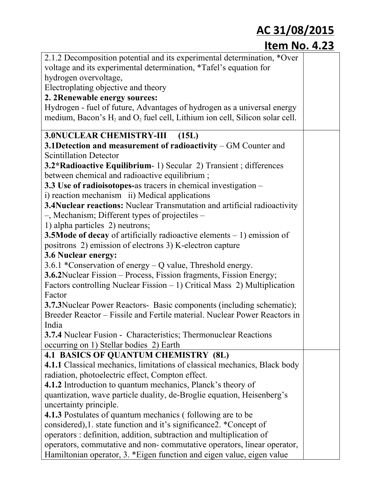| 2.1.2 Decomposition potential and its experimental determination, *Over          |  |
|----------------------------------------------------------------------------------|--|
| voltage and its experimental determination, *Tafel's equation for                |  |
| hydrogen overvoltage,                                                            |  |
| Electroplating objective and theory                                              |  |
| 2. 2Renewable energy sources:                                                    |  |
| Hydrogen - fuel of future, Advantages of hydrogen as a universal energy          |  |
| medium, Bacon's $H_2$ and $O_2$ fuel cell, Lithium ion cell, Silicon solar cell. |  |
| <b>3.0NUCLEAR CHEMISTRY-III</b><br>(15L)                                         |  |
| 3.1 Detection and measurement of radioactivity – GM Counter and                  |  |
| <b>Scintillation Detector</b>                                                    |  |
| 3.2*Radioactive Equilibrium- 1) Secular 2) Transient; differences                |  |
| between chemical and radioactive equilibrium;                                    |  |
| 3.3 Use of radioisotopes-as tracers in chemical investigation –                  |  |
| i) reaction mechanism ii) Medical applications                                   |  |
| 3.4Nuclear reactions: Nuclear Transmutation and artificial radioactivity         |  |
| $-$ , Mechanism; Different types of projectiles $-$                              |  |
| 1) alpha particles 2) neutrons;                                                  |  |
| <b>3.5 Mode of decay</b> of artificially radioactive elements $-1$ ) emission of |  |
| positrons 2) emission of electrons 3) K-electron capture                         |  |
| 3.6 Nuclear energy:                                                              |  |
| 3.6.1 *Conservation of energy – Q value, Threshold energy.                       |  |
| <b>3.6.2</b> Nuclear Fission – Process, Fission fragments, Fission Energy;       |  |
| Factors controlling Nuclear Fission $-1$ ) Critical Mass 2) Multiplication       |  |
| Factor                                                                           |  |
| 3.7.3Nuclear Power Reactors- Basic components (including schematic);             |  |
| Breeder Reactor – Fissile and Fertile material. Nuclear Power Reactors in        |  |
| India                                                                            |  |
| <b>3.7.4</b> Nuclear Fusion - Characteristics; Thermonuclear Reactions           |  |
| occurring on 1) Stellar bodies 2) Earth                                          |  |
| 4.1 BASICS OF QUANTUM CHEMISTRY (8L)                                             |  |
| 4.1.1 Classical mechanics, limitations of classical mechanics, Black body        |  |
| radiation, photoelectric effect, Compton effect.                                 |  |
| <b>4.1.2</b> Introduction to quantum mechanics, Planck's theory of               |  |
| quantization, wave particle duality, de-Broglie equation, Heisenberg's           |  |
| uncertainty principle.                                                           |  |
| <b>4.1.3</b> Postulates of quantum mechanics (following are to be                |  |
| considered), 1. state function and it's significance 2. * Concept of             |  |
| operators : definition, addition, subtraction and multiplication of              |  |
| operators, commutative and non-commutative operators, linear operator,           |  |
| Hamiltonian operator, 3. *Eigen function and eigen value, eigen value            |  |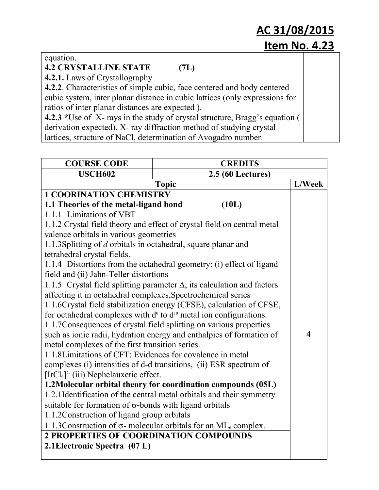equation.

#### **4.2 CRYSTALLINE STATE (7L)**

**4.2.1.** Laws of Crystallography

**4.2.2**. Characteristics of simple cubic, face centered and body centered cubic system, inter planar distance in cubic lattices (only expressions for ratios of inter planar distances are expected ).

**4.2.3** \*Use of X-rays in the study of crystal structure, Bragg's equation ( derivation expected), X-ray diffraction method of studying crystal lattices, structure of NaCl, determination of Avogadro number.

| <b>COURSE CODE</b>                                             | <b>CREDITS</b>                                                                      |                         |
|----------------------------------------------------------------|-------------------------------------------------------------------------------------|-------------------------|
| <b>USCH602</b>                                                 | 2.5 (60 Lectures)                                                                   |                         |
|                                                                | <b>Topic</b>                                                                        | L/Week                  |
| <b>1 COORINATION CHEMISTRY</b>                                 |                                                                                     |                         |
| 1.1 Theories of the metal-ligand bond                          | (10L)                                                                               |                         |
| 1.1.1 Limitations of VBT                                       |                                                                                     |                         |
|                                                                | 1.1.2 Crystal field theory and effect of crystal field on central metal             |                         |
| valence orbitals in various geometries                         |                                                                                     |                         |
| 1.1.3 Splitting of d orbitals in octahedral, square planar and |                                                                                     |                         |
| tetrahedral crystal fields.                                    |                                                                                     |                         |
|                                                                | 1.1.4 Distortions from the octahedral geometry: (i) effect of ligand                |                         |
| field and (ii) Jahn-Teller distortions                         |                                                                                     |                         |
|                                                                | 1.1.5 Crystal field splitting parameter $\Delta$ ; its calculation and factors      |                         |
| affecting it in octahedral complexes, Spectrochemical series   |                                                                                     |                         |
|                                                                | 1.1.6Crystal field stabilization energy (CFSE), calculation of CFSE,                |                         |
|                                                                | for octahedral complexes with $d^0$ to $d^{10}$ metal ion configurations.           |                         |
|                                                                | 1.1.7 Consequences of crystal field splitting on various properties                 |                         |
|                                                                | such as ionic radii, hydration energy and enthalpies of formation of                | $\overline{\mathbf{4}}$ |
| metal complexes of the first transition series.                |                                                                                     |                         |
| 1.1.8 Limitations of CFT: Evidences for covalence in metal     |                                                                                     |                         |
|                                                                | complexes (i) intensities of d-d transitions, (ii) ESR spectrum of                  |                         |
| $[IrCl6]$ <sup>2</sup> (iii) Nephelauxetic effect.             |                                                                                     |                         |
|                                                                | 1.2Molecular orbital theory for coordination compounds (05L)                        |                         |
|                                                                | 1.2.1 Identification of the central metal orbitals and their symmetry               |                         |
| suitable for formation of $\sigma$ -bonds with ligand orbitals |                                                                                     |                         |
| 1.1.2 Construction of ligand group orbitals                    |                                                                                     |                         |
|                                                                | 1.1.3 Construction of $\sigma$ - molecular orbitals for an ML <sub>6</sub> complex. |                         |
| <b>2 PROPERTIES OF COORDINATION COMPOUNDS</b>                  |                                                                                     |                         |
| 2.1 Electronic Spectra (07 L)                                  |                                                                                     |                         |
|                                                                |                                                                                     |                         |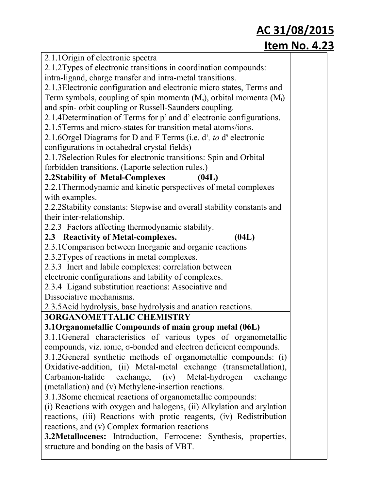| 2.1.1 Origin of electronic spectra                                          |  |
|-----------------------------------------------------------------------------|--|
| 2.1.2Types of electronic transitions in coordination compounds:             |  |
| intra-ligand, charge transfer and intra-metal transitions.                  |  |
| 2.1.3 Electronic configuration and electronic micro states, Terms and       |  |
| Term symbols, coupling of spin momenta $(M_s)$ , orbital momenta $(M_l)$    |  |
| and spin- orbit coupling or Russell-Saunders coupling.                      |  |
| 2.1.4 Determination of Terms for $p^2$ and $d^2$ electronic configurations. |  |
| 2.1.5 Terms and micro-states for transition metal atoms/ions.               |  |
| 2.1.6Orgel Diagrams for D and F Terms (i.e. $d^{1}$ , to $d^{9}$ electronic |  |
| configurations in octahedral crystal fields)                                |  |
| 2.1.7 Selection Rules for electronic transitions: Spin and Orbital          |  |
| forbidden transitions. (Laporte selection rules.)                           |  |
| 2.2Stability of Metal-Complexes<br>(04L)                                    |  |
| 2.2.1 Thermodynamic and kinetic perspectives of metal complexes             |  |
| with examples.                                                              |  |
| 2.2.2Stability constants: Stepwise and overall stability constants and      |  |
| their inter-relationship.                                                   |  |
| 2.2.3 Factors affecting thermodynamic stability.                            |  |
| 2.3 Reactivity of Metal-complexes.<br>(04L)                                 |  |
| 2.3.1 Comparison between Inorganic and organic reactions                    |  |
| 2.3.2Types of reactions in metal complexes.                                 |  |
| 2.3.3 Inert and labile complexes: correlation between                       |  |
| electronic configurations and lability of complexes.                        |  |
| 2.3.4 Ligand substitution reactions: Associative and                        |  |
| Dissociative mechanisms.                                                    |  |
| 2.3.5 Acid hydrolysis, base hydrolysis and anation reactions.               |  |
| <b>3ORGANOMETTALIC CHEMISTRY</b>                                            |  |
| 3.1 Organometallic Compounds of main group metal (06L)                      |  |
| 3.1.1 General characteristics of various types of organometallic            |  |
| compounds, viz. ionic, $\sigma$ -bonded and electron deficient compounds.   |  |
| 3.1.2General synthetic methods of organometallic compounds: (i)             |  |
| Oxidative-addition, (ii) Metal-metal exchange (transmetallation),           |  |
| Carbanion-halide exchange, (iv) Metal-hydrogen<br>exchange                  |  |
| (metallation) and (v) Methylene-insertion reactions.                        |  |
| 3.1.3 Some chemical reactions of organometallic compounds:                  |  |
| (i) Reactions with oxygen and halogens, (ii) Alkylation and arylation       |  |
| reactions, (iii) Reactions with protic reagents, (iv) Redistribution        |  |
| reactions, and (v) Complex formation reactions                              |  |
| 3.2Metallocenes: Introduction, Ferrocene: Synthesis, properties,            |  |
| structure and bonding on the basis of VBT.                                  |  |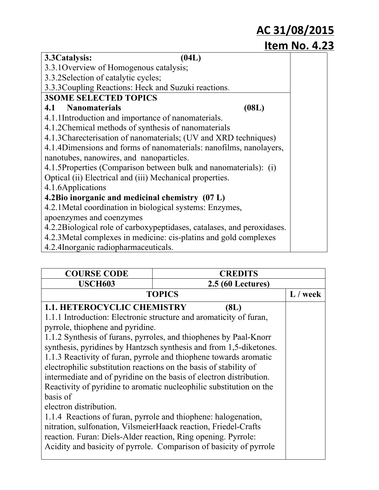| 3.3 Catalysis:<br>(04L)                                                |       |
|------------------------------------------------------------------------|-------|
| 3.3.1 Overview of Homogenous catalysis;                                |       |
| 3.3.2 Selection of catalytic cycles;                                   |       |
| 3.3.3 Coupling Reactions: Heck and Suzuki reactions.                   |       |
| <b>3SOME SELECTED TOPICS</b>                                           |       |
| 4.1 Nanomaterials                                                      | (08L) |
| 4.1.1Introduction and importance of nanomaterials.                     |       |
| 4.1.2Chemical methods of synthesis of nanomaterials                    |       |
| 4.1.3 Charecterisation of nanomaterials; (UV and XRD techniques)       |       |
| 4.1.4Dimensions and forms of nanomaterials: nanofilms, nanolayers,     |       |
| nanotubes, nanowires, and nanoparticles.                               |       |
| 4.1.5Properties (Comparison between bulk and nanomaterials): (i)       |       |
| Optical (ii) Electrical and (iii) Mechanical properties.               |       |
| 4.1.6Applications                                                      |       |
| 4.2Bio inorganic and medicinal chemistry (07 L)                        |       |
| 4.2.1 Metal coordination in biological systems: Enzymes,               |       |
| apoenzymes and coenzymes                                               |       |
| 4.2.2Biological role of carboxypeptidases, catalases, and peroxidases. |       |
| 4.2.3 Metal complexes in medicine: cis-platins and gold complexes      |       |
| 4.2.4Inorganic radiopharmaceuticals.                                   |       |

| <b>COURSE CODE</b>                                                | <b>CREDITS</b>                                                      |            |
|-------------------------------------------------------------------|---------------------------------------------------------------------|------------|
| <b>USCH603</b>                                                    | <b>2.5 (60 Lectures)</b>                                            |            |
|                                                                   | <b>TOPICS</b>                                                       | $L /$ week |
| <b>1.1. HETEROCYCLIC CHEMISTRY</b>                                | (8L)                                                                |            |
|                                                                   | 1.1.1 Introduction: Electronic structure and aromaticity of furan,  |            |
| pyrrole, thiophene and pyridine.                                  |                                                                     |            |
|                                                                   | 1.1.2 Synthesis of furans, pyrroles, and thiophenes by Paal-Knorr   |            |
|                                                                   | synthesis, pyridines by Hantzsch synthesis and from 1,5-diketones.  |            |
|                                                                   | 1.1.3 Reactivity of furan, pyrrole and thiophene towards aromatic   |            |
| electrophilic substitution reactions on the basis of stability of |                                                                     |            |
|                                                                   | intermediate and of pyridine on the basis of electron distribution. |            |
|                                                                   | Reactivity of pyridine to aromatic nucleophilic substitution on the |            |
| basis of                                                          |                                                                     |            |
| electron distribution.                                            |                                                                     |            |
|                                                                   | 1.1.4 Reactions of furan, pyrrole and thiophene: halogenation,      |            |
| nitration, sulfonation, VilsmeierHaack reaction, Friedel-Crafts   |                                                                     |            |
| reaction. Furan: Diels-Alder reaction, Ring opening. Pyrrole:     |                                                                     |            |
|                                                                   | Acidity and basicity of pyrrole. Comparison of basicity of pyrrole  |            |
|                                                                   |                                                                     |            |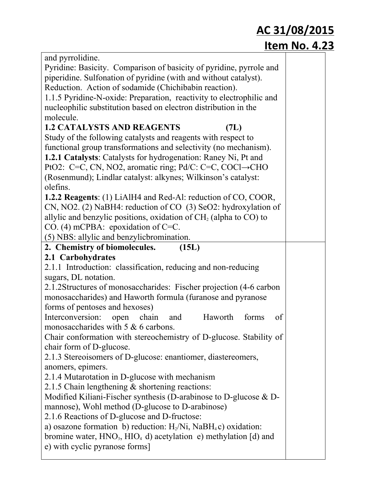| and pyrrolidine.                                                      |  |
|-----------------------------------------------------------------------|--|
| Pyridine: Basicity. Comparison of basicity of pyridine, pyrrole and   |  |
| piperidine. Sulfonation of pyridine (with and without catalyst).      |  |
| Reduction. Action of sodamide (Chichibabin reaction).                 |  |
| 1.1.5 Pyridine-N-oxide: Preparation, reactivity to electrophilic and  |  |
| nucleophilic substitution based on electron distribution in the       |  |
| molecule.                                                             |  |
| <b>1.2 CATALYSTS AND REAGENTS</b><br>(7L)                             |  |
| Study of the following catalysts and reagents with respect to         |  |
| functional group transformations and selectivity (no mechanism).      |  |
| 1.2.1 Catalysts: Catalysts for hydrogenation: Raney Ni, Pt and        |  |
| PtO2: C=C, CN, NO2, aromatic ring; Pd/C: C=C, COCl→CHO                |  |
| (Rosenmund); Lindlar catalyst: alkynes; Wilkinson's catalyst:         |  |
| olefins.                                                              |  |
| <b>1.2.2 Reagents:</b> (1) LiAlH4 and Red-Al: reduction of CO, COOR,  |  |
| CN, NO2. (2) NaBH4: reduction of CO (3) SeO2: hydroxylation of        |  |
| allylic and benzylic positions, oxidation of $CH2$ (alpha to CO) to   |  |
| CO. (4) mCPBA: epoxidation of $C=C$ .                                 |  |
| (5) NBS: allylic and benzylicbromination.                             |  |
| 2. Chemistry of biomolecules.<br>(15L)                                |  |
| 2.1 Carbohydrates                                                     |  |
| 2.1.1 Introduction: classification, reducing and non-reducing         |  |
| sugars, DL notation.                                                  |  |
| 2.1.2Structures of monosaccharides: Fischer projection (4-6 carbon    |  |
| monosaccharides) and Haworth formula (furanose and pyranose           |  |
| forms of pentoses and hexoses)                                        |  |
| Interconversion:<br>Haworth<br>chain<br>open<br>and<br>forms<br>of    |  |
| monosaccharides with $5 & 6$ carbons.                                 |  |
| Chair conformation with stereochemistry of D-glucose. Stability of    |  |
| chair form of D-glucose.                                              |  |
| 2.1.3 Stereoisomers of D-glucose: enantiomer, diastereomers,          |  |
| anomers, epimers.                                                     |  |
| 2.1.4 Mutarotation in D-glucose with mechanism                        |  |
| 2.1.5 Chain lengthening & shortening reactions:                       |  |
| Modified Kiliani-Fischer synthesis (D-arabinose to D-glucose $\&$ D-  |  |
| mannose), Wohl method (D-glucose to D-arabinose)                      |  |
| 2.1.6 Reactions of D-glucose and D-fructose:                          |  |
| a) osazone formation b) reduction: $H_2/Ni$ , NaB $H_4c$ ) oxidation: |  |
| bromine water, $HNO3$ , $HIO4$ d) acetylation e) methylation [d) and  |  |
| e) with cyclic pyranose forms]                                        |  |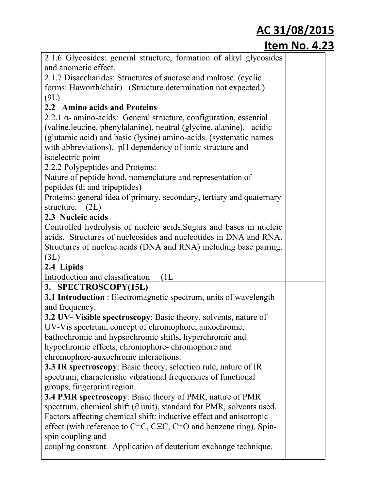| 2.1.6 Glycosides: general structure, formation of alkyl glycosides                                             |
|----------------------------------------------------------------------------------------------------------------|
| and anomeric effect.                                                                                           |
| 2.1.7 Disaccharides: Structures of sucrose and maltose. (cyclic                                                |
| forms: Haworth/chair) (Structure determination not expected.)                                                  |
| (9L)                                                                                                           |
| 2.2 Amino acids and Proteins                                                                                   |
| $2.2.1 \alpha$ - amino-acids: General structure, configuration, essential                                      |
| (valine, leucine, phenylalanine), neutral (glycine, alanine), acidic                                           |
| (glutamic acid) and basic (lysine) amino-acids. (systematic names                                              |
| with abbreviations). pH dependency of ionic structure and                                                      |
| isoelectric point                                                                                              |
| 2.2.2 Polypeptides and Proteins:                                                                               |
| Nature of peptide bond, nomenclature and representation of                                                     |
| peptides (di and tripeptides)                                                                                  |
| Proteins: general idea of primary, secondary, tertiary and quaternary                                          |
| structure. (2L)                                                                                                |
| 2.3 Nucleic acids                                                                                              |
| Controlled hydrolysis of nucleic acids. Sugars and bases in nucleic                                            |
| acids. Structures of nucleosides and nucleotides in DNA and RNA.                                               |
| Structures of nucleic acids (DNA and RNA) including base pairing.                                              |
| (3L)                                                                                                           |
| 2.4 Lipids                                                                                                     |
|                                                                                                                |
| Introduction and classification<br>(1L)                                                                        |
| 3. SPECTROSCOPY(15L)                                                                                           |
| <b>3.1 Introduction</b> : Electromagnetic spectrum, units of wavelength                                        |
| and frequency.                                                                                                 |
| 3.2 UV- Visible spectroscopy: Basic theory, solvents, nature of                                                |
|                                                                                                                |
| UV-Vis spectrum, concept of chromophore, auxochrome,<br>bathochromic and hypsochromic shifts, hyperchromic and |
| hypochromic effects, chromophore-chromophore and                                                               |
| chromophore-auxochrome interactions.                                                                           |
| <b>3.3 IR spectroscopy</b> : Basic theory, selection rule, nature of IR                                        |
| spectrum, characteristic vibrational frequencies of functional                                                 |
| groups, fingerprint region.                                                                                    |
| <b>3.4 PMR spectroscopy:</b> Basic theory of PMR, nature of PMR                                                |
| spectrum, chemical shift ( $\partial$ unit), standard for PMR, solvents used.                                  |
| Factors affecting chemical shift: inductive effect and anisotropic                                             |
| effect (with reference to $C=C$ , $CEC$ , $C=O$ and benzene ring). Spin-                                       |
| spin coupling and                                                                                              |
| coupling constant. Application of deuterium exchange technique.                                                |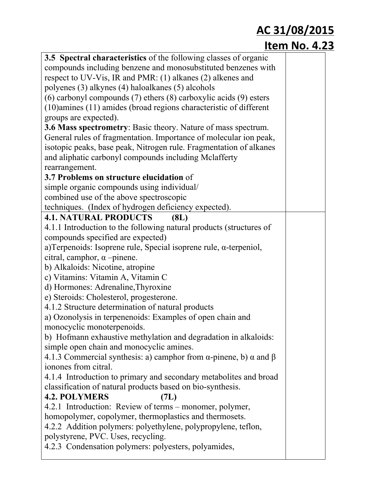| 3.5 Spectral characteristics of the following classes of organic                      |  |
|---------------------------------------------------------------------------------------|--|
| compounds including benzene and monosubstituted benzenes with                         |  |
| respect to UV-Vis, IR and PMR: (1) alkanes (2) alkenes and                            |  |
| polyenes (3) alkynes (4) haloalkanes (5) alcohols                                     |  |
| $(6)$ carbonyl compounds $(7)$ ethers $(8)$ carboxylic acids $(9)$ esters             |  |
| (10) amines (11) amides (broad regions characteristic of different                    |  |
| groups are expected).                                                                 |  |
| 3.6 Mass spectrometry: Basic theory. Nature of mass spectrum.                         |  |
|                                                                                       |  |
| General rules of fragmentation. Importance of molecular ion peak,                     |  |
| isotopic peaks, base peak, Nitrogen rule. Fragmentation of alkanes                    |  |
| and aliphatic carbonyl compounds including Mclafferty                                 |  |
| rearrangement.                                                                        |  |
| 3.7 Problems on structure elucidation of                                              |  |
| simple organic compounds using individual/                                            |  |
| combined use of the above spectroscopic                                               |  |
| techniques. (Index of hydrogen deficiency expected).                                  |  |
| <b>4.1. NATURAL PRODUCTS</b><br>(8L)                                                  |  |
| 4.1.1 Introduction to the following natural products (structures of                   |  |
| compounds specified are expected)                                                     |  |
| a) Terpenoids: Isoprene rule, Special isoprene rule, $\alpha$ -terpeniol,             |  |
| citral, camphor, $\alpha$ -pinene.                                                    |  |
| b) Alkaloids: Nicotine, atropine                                                      |  |
| c) Vitamins: Vitamin A, Vitamin C                                                     |  |
| d) Hormones: Adrenaline, Thyroxine                                                    |  |
| e) Steroids: Cholesterol, progesterone.                                               |  |
| 4.1.2 Structure determination of natural products                                     |  |
| a) Ozonolysis in terpenenoids: Examples of open chain and                             |  |
|                                                                                       |  |
| monocyclic monoterpenoids.                                                            |  |
| b) Hofmann exhaustive methylation and degradation in alkaloids:                       |  |
| simple open chain and monocyclic amines.                                              |  |
| 4.1.3 Commercial synthesis: a) camphor from $\alpha$ -pinene, b) $\alpha$ and $\beta$ |  |
| ionones from citral.                                                                  |  |
| 4.1.4 Introduction to primary and secondary metabolites and broad                     |  |
| classification of natural products based on bio-synthesis.                            |  |
| <b>4.2. POLYMERS</b><br>(7L)                                                          |  |
| 4.2.1 Introduction: Review of terms – monomer, polymer,                               |  |
| homopolymer, copolymer, thermoplastics and thermosets.                                |  |
| 4.2.2 Addition polymers: polyethylene, polypropylene, teflon,                         |  |
| polystyrene, PVC. Uses, recycling.                                                    |  |
| 4.2.3 Condensation polymers: polyesters, polyamides,                                  |  |
|                                                                                       |  |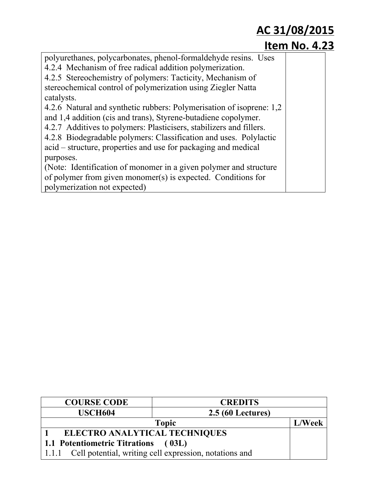| polyurethanes, polycarbonates, phenol-formaldehyde resins. Uses      |  |
|----------------------------------------------------------------------|--|
| 4.2.4 Mechanism of free radical addition polymerization.             |  |
| 4.2.5 Stereochemistry of polymers: Tacticity, Mechanism of           |  |
| stereochemical control of polymerization using Ziegler Natta         |  |
| catalysts.                                                           |  |
| 4.2.6 Natural and synthetic rubbers: Polymerisation of isoprene: 1,2 |  |
| and 1,4 addition (cis and trans), Styrene-butadiene copolymer.       |  |
| 4.2.7 Additives to polymers: Plasticisers, stabilizers and fillers.  |  |
| 4.2.8 Biodegradable polymers: Classification and uses. Polylactic    |  |
| acid – structure, properties and use for packaging and medical       |  |
| purposes.                                                            |  |
| (Note: Identification of monomer in a given polymer and structure    |  |
| of polymer from given monomer(s) is expected. Conditions for         |  |
| polymerization not expected)                                         |  |

| <b>COURSE CODE</b>                   | <b>CREDITS</b>                                         |               |
|--------------------------------------|--------------------------------------------------------|---------------|
| <b>USCH604</b>                       | <b>2.5 (60 Lectures)</b>                               |               |
|                                      | <b>Topic</b>                                           | <b>L/Week</b> |
| <b>ELECTRO ANALYTICAL TECHNIQUES</b> |                                                        |               |
| <b>1.1 Potentiometric Titrations</b> | (03L)                                                  |               |
| 1.1.1                                | Cell potential, writing cell expression, notations and |               |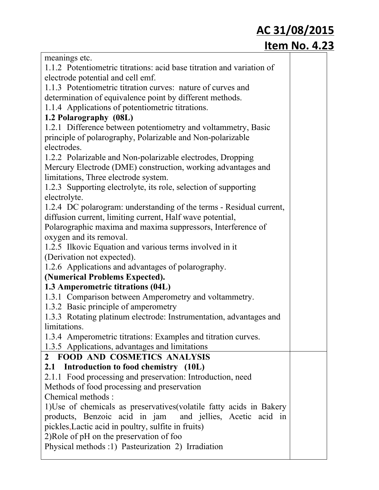| AC 31/08/2015                                                         |                      |  |
|-----------------------------------------------------------------------|----------------------|--|
|                                                                       | <b>Item No. 4.23</b> |  |
| meanings etc.                                                         |                      |  |
| 1.1.2 Potentiometric titrations: acid base titration and variation of |                      |  |
| electrode potential and cell emf.                                     |                      |  |
| 1.1.3 Potentiometric titration curves: nature of curves and           |                      |  |
| determination of equivalence point by different methods.              |                      |  |
| 1.1.4 Applications of potentiometric titrations.                      |                      |  |
| 1.2 Polarography (08L)                                                |                      |  |
| 1.2.1 Difference between potentiometry and voltammetry, Basic         |                      |  |
| principle of polarography, Polarizable and Non-polarizable            |                      |  |
| electrodes.                                                           |                      |  |
| 1.2.2 Polarizable and Non-polarizable electrodes, Dropping            |                      |  |
| Mercury Electrode (DME) construction, working advantages and          |                      |  |
| limitations, Three electrode system.                                  |                      |  |
| 1.2.3 Supporting electrolyte, its role, selection of supporting       |                      |  |
| electrolyte.                                                          |                      |  |
| 1.2.4 DC polarogram: understanding of the terms - Residual current,   |                      |  |
| diffusion current, limiting current, Half wave potential,             |                      |  |
| Polarographic maxima and maxima suppressors, Interference of          |                      |  |
| oxygen and its removal.                                               |                      |  |
| 1.2.5 Ilkovic Equation and various terms involved in it               |                      |  |
| (Derivation not expected).                                            |                      |  |
| 1.2.6 Applications and advantages of polarography.                    |                      |  |
| (Numerical Problems Expected).                                        |                      |  |
| 1.3 Amperometric titrations (04L)                                     |                      |  |
| 1.3.1 Comparison between Amperometry and voltammetry.                 |                      |  |
| 1.3.2 Basic principle of amperometry                                  |                      |  |
| 1.3.3 Rotating platinum electrode: Instrumentation, advantages and    |                      |  |
| limitations.                                                          |                      |  |
| 1.3.4 Amperometric titrations: Examples and titration curves.         |                      |  |
| 1.3.5 Applications, advantages and limitations                        |                      |  |
| 2 FOOD AND COSMETICS ANALYSIS                                         |                      |  |
| 2.1 Introduction to food chemistry (10L)                              |                      |  |
| 2.1.1 Food processing and preservation: Introduction, need            |                      |  |
| Methods of food processing and preservation                           |                      |  |
| Chemical methods :                                                    |                      |  |
| 1) Use of chemicals as preservatives (volatile fatty acids in Bakery  |                      |  |
| products, Benzoic acid in jam and jellies, Acetic acid in             |                      |  |
| pickles, Lactic acid in poultry, sulfite in fruits)                   |                      |  |
| 2) Role of pH on the preservation of foo                              |                      |  |
| Physical methods :1) Pasteurization 2) Irradiation                    |                      |  |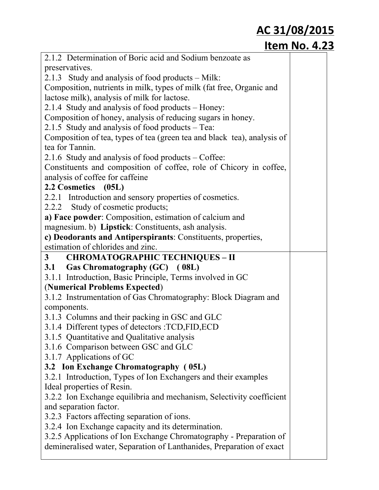|                | 2.1.2 Determination of Boric acid and Sodium benzoate as                |  |
|----------------|-------------------------------------------------------------------------|--|
|                | preservatives.                                                          |  |
|                | 2.1.3 Study and analysis of food products – Milk:                       |  |
|                | Composition, nutrients in milk, types of milk (fat free, Organic and    |  |
|                | lactose milk), analysis of milk for lactose.                            |  |
|                | 2.1.4 Study and analysis of food products – Honey:                      |  |
|                | Composition of honey, analysis of reducing sugars in honey.             |  |
|                | 2.1.5 Study and analysis of food products – Tea:                        |  |
|                | Composition of tea, types of tea (green tea and black tea), analysis of |  |
|                | tea for Tannin.                                                         |  |
|                | 2.1.6 Study and analysis of food products – Coffee:                     |  |
|                | Constituents and composition of coffee, role of Chicory in coffee,      |  |
|                | analysis of coffee for caffeine                                         |  |
|                | 2.2 Cosmetics (05L)                                                     |  |
|                | 2.2.1 Introduction and sensory properties of cosmetics.                 |  |
|                | 2.2.2 Study of cosmetic products;                                       |  |
|                | a) Face powder: Composition, estimation of calcium and                  |  |
|                | magnesium. b) Lipstick: Constituents, ash analysis.                     |  |
|                | c) Deodorants and Antiperspirants: Constituents, properties,            |  |
|                | estimation of chlorides and zinc.                                       |  |
| 3 <sup>7</sup> | <b>CHROMATOGRAPHIC TECHNIQUES - II</b>                                  |  |
|                |                                                                         |  |
|                | 3.1 Gas Chromatography (GC) (08L)                                       |  |
|                | 3.1.1 Introduction, Basic Principle, Terms involved in GC               |  |
|                | (Numerical Problems Expected)                                           |  |
|                | 3.1.2 Instrumentation of Gas Chromatography: Block Diagram and          |  |
|                | components.                                                             |  |
|                | 3.1.3 Columns and their packing in GSC and GLC                          |  |
|                | 3.1.4 Different types of detectors :TCD,FID,ECD                         |  |
|                | 3.1.5 Quantitative and Qualitative analysis                             |  |
|                | 3.1.6 Comparison between GSC and GLC                                    |  |
|                | 3.1.7 Applications of GC                                                |  |
|                | 3.2 Ion Exchange Chromatography (05L)                                   |  |
|                | 3.2.1 Introduction, Types of Ion Exchangers and their examples          |  |
|                | Ideal properties of Resin.                                              |  |
|                | 3.2.2 Ion Exchange equilibria and mechanism, Selectivity coefficient    |  |
|                | and separation factor.                                                  |  |
|                | 3.2.3 Factors affecting separation of ions.                             |  |
|                | 3.2.4 Ion Exchange capacity and its determination.                      |  |
|                | 3.2.5 Applications of Ion Exchange Chromatography - Preparation of      |  |
|                | demineralised water, Separation of Lanthanides, Preparation of exact    |  |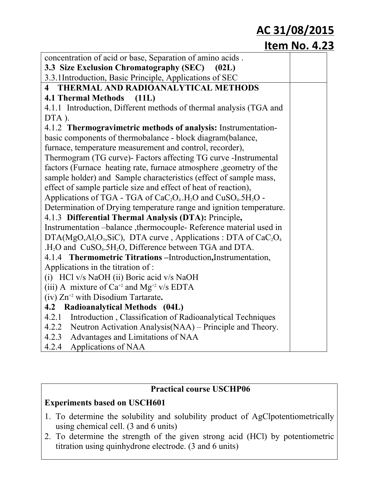#### **Item No. 4.23**

| concentration of acid or base, Separation of amino acids.                                          |  |
|----------------------------------------------------------------------------------------------------|--|
| <b>3.3 Size Exclusion Chromatography (SEC)</b><br>(02L)                                            |  |
| 3.3.1 Introduction, Basic Principle, Applications of SEC                                           |  |
| 4 THERMAL AND RADIOANALYTICAL METHODS                                                              |  |
| 4.1 Thermal Methods (11L)                                                                          |  |
| 4.1.1 Introduction, Different methods of thermal analysis (TGA and                                 |  |
| DTA).                                                                                              |  |
| 4.1.2 Thermogravimetric methods of analysis: Instrumentation-                                      |  |
| basic components of thermobalance - block diagram (balance,                                        |  |
| furnace, temperature measurement and control, recorder),                                           |  |
| Thermogram (TG curve)- Factors affecting TG curve - Instrumental                                   |  |
| factors (Furnace heating rate, furnace atmosphere , geometry of the                                |  |
| sample holder) and Sample characteristics (effect of sample mass,                                  |  |
| effect of sample particle size and effect of heat of reaction),                                    |  |
| Applications of TGA - TGA of $CaC2O4$ .H <sub>2</sub> O and CuSO <sub>4</sub> .5H <sub>2</sub> O - |  |
| Determination of Drying temperature range and ignition temperature.                                |  |
| 4.1.3 Differential Thermal Analysis (DTA): Principle,                                              |  |
| Instrumentation -balance , thermocouple-Reference material used in                                 |  |
| DTA(MgO,Al <sub>2</sub> O <sub>3</sub> ,SiC), DTA curve, Applications: DTA of $CaC2O4$             |  |
| .H <sub>2</sub> O and CuSO <sub>4</sub> .5H <sub>2</sub> O, Difference between TGA and DTA.        |  |
| 4.1.4 Thermometric Titrations – Introduction, Instrumentation,                                     |  |
| Applications in the titration of :                                                                 |  |
| (i) HCl v/s NaOH (ii) Boric acid v/s NaOH                                                          |  |
| (iii) A mixture of $Ca^{+2}$ and $Mg^{+2}$ v/s EDTA                                                |  |
| $(iv) Zn^{2}$ with Disodium Tartarate.                                                             |  |
| 4.2 Radioanalytical Methods (04L)                                                                  |  |
| 4.2.1<br>Introduction, Classification of Radioanalytical Techniques                                |  |
| 4.2.2<br>Neutron Activation Analysis (NAA) – Principle and Theory.                                 |  |
| 4.2.3<br>Advantages and Limitations of NAA                                                         |  |
| 4.2.4<br>Applications of NAA                                                                       |  |

#### **Practical course USCHP06**

#### **Experiments based on USCH601**

- 1. To determine the solubility and solubility product of AgClpotentiometrically using chemical cell. (3 and 6 units)
- 2. To determine the strength of the given strong acid (HCl) by potentiometric titration using quinhydrone electrode. (3 and 6 units)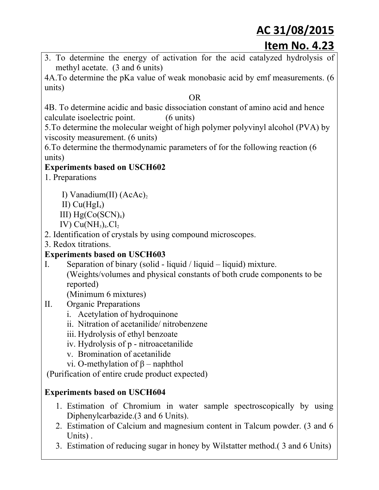- **Item No. 4.23**
- 3. To determine the energy of activation for the acid catalyzed hydrolysis of methyl acetate. (3 and 6 units)

4A.To determine the pKa value of weak monobasic acid by emf measurements. (6 units)

#### OR

4B. To determine acidic and basic dissociation constant of amino acid and hence calculate isoelectric point. (6 units)

5.To determine the molecular weight of high polymer polyvinyl alcohol (PVA) by viscosity measurement. (6 units)

6.To determine the thermodynamic parameters of for the following reaction (6 units)

#### **Experiments based on USCH602**

- 1. Preparations
	- I) Vanadium(II)  $(AcAc)_2$
	- II)  $Cu(Hgl<sub>4</sub>)$
	- III)  $Hg(Co(SCN)<sub>4</sub>)$
	- IV)  $Cu(NH_3)_4.C1_2$
- 2. Identification of crystals by using compound microscopes.
- 3. Redox titrations.

#### **Experiments based on USCH603**

- I. Separation of binary (solid liquid / liquid liquid) mixture.
	- (Weights/volumes and physical constants of both crude components to be reported)

(Minimum 6 mixtures)

- II. Organic Preparations
	- i. Acetylation of hydroquinone
	- ii. Nitration of acetanilide/ nitrobenzene
	- iii. Hydrolysis of ethyl benzoate
	- iv. Hydrolysis of p nitroacetanilide
	- v. Bromination of acetanilide
	- vi. O-methylation of  $β$  naphthol

(Purification of entire crude product expected)

#### **Experiments based on USCH604**

- 1. Estimation of Chromium in water sample spectroscopically by using Diphenylcarbazide.(3 and 6 Units).
- 2. Estimation of Calcium and magnesium content in Talcum powder. (3 and 6 Units) .
- 3. Estimation of reducing sugar in honey by Wilstatter method.( 3 and 6 Units)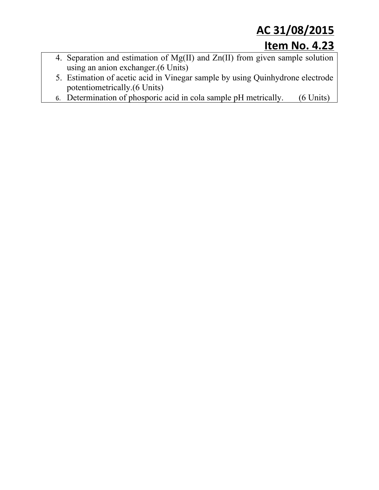- 4. Separation and estimation of Mg(II) and Zn(II) from given sample solution using an anion exchanger.(6 Units)
- 5. Estimation of acetic acid in Vinegar sample by using Quinhydrone electrode potentiometrically.(6 Units)
- 6. Determination of phosporic acid in cola sample pH metrically.  $(6 \text{ Units})$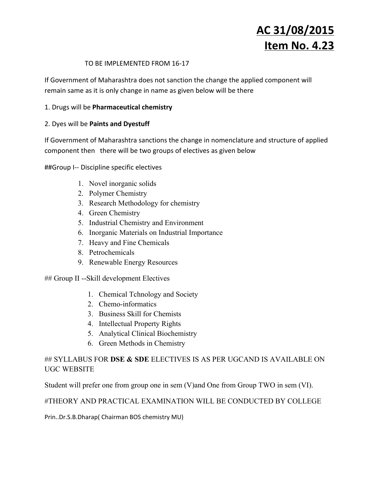#### TO BE IMPLEMENTED FROM 16‐17

If Government of Maharashtra does not sanction the change the applied component will remain same as it is only change in name as given below will be there

#### 1. Drugs will be **Pharmaceutical chemistry**

#### 2. Dyes will be **Paints and Dyestuff**

If Government of Maharashtra sanctions the change in nomenclature and structure of applied component then there will be two groups of electives as given below

##Group I‐‐ Discipline specific electives

- 1. Novel inorganic solids
- 2. Polymer Chemistry
- 3. Research Methodology for chemistry
- 4. Green Chemistry
- 5. Industrial Chemistry and Environment
- 6. Inorganic Materials on Industrial Importance
- 7. Heavy and Fine Chemicals
- 8. Petrochemicals
- 9. Renewable Energy Resources

 $\#$  Group II --Skill development Electives

- 1. Chemical Tchnology and Society
- 2. Chemo-informatics
- 3. Business Skill for Chemists
- 4. Intellectual Property Rights
- 5. Analytical Clinical Biochemistry
- 6. Green Methods in Chemistry

#### ## SYLLABUS FOR **DSE & SDE** ELECTIVES IS AS PER UGCAND IS AVAILABLE ON UGC WEBSITE

Student will prefer one from group one in sem (V)and One from Group TWO in sem (VI).

#### #THEORY AND PRACTICAL EXAMINATION WILL BE CONDUCTED BY COLLEGE

Prin..Dr.S.B.Dharap( Chairman BOS chemistry MU)